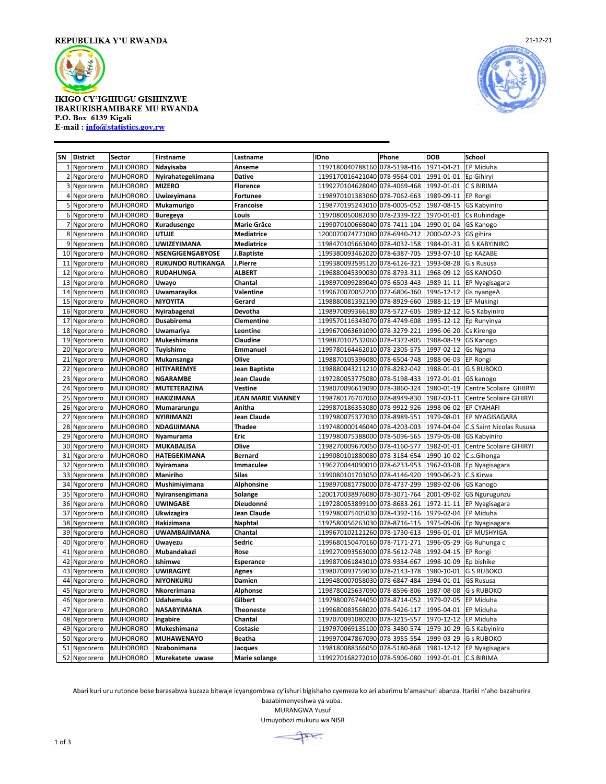

**IKIGO CY'IGIHUGU GISHINZWE** IBARURISHAMIBARE MU RWANDA P.O. Box 6139 Kigali E-mail: info@statistics.gov.rw



| SN | <b>District</b> | Sector          | Firstname                | Lastname                  | <b>IDno</b>                                             | Phone        | <b>DOB</b> | School                         |
|----|-----------------|-----------------|--------------------------|---------------------------|---------------------------------------------------------|--------------|------------|--------------------------------|
| 1  | Ngororero       | <b>MUHORORO</b> | Ndayisaba                | Anseme                    | 1197180040788160                                        | 078-5198-416 | 1971-04-21 | EP Miduha                      |
| 2  | Ngororero       | <b>MUHORORO</b> | Nyirahategekimana        | <b>Dative</b>             | 1199170016421040 078-9564-001                           |              | 1991-01-01 | Ep Gihiryi                     |
| 3  | Ngororero       | <b>MUHORORO</b> | <b>MIZERO</b>            | <b>Florence</b>           | 1199270104628040                                        | 078-4069-468 | 1992-01-01 | C S BIRIMA                     |
| 4  | Ngororero       | <b>MUHORORO</b> | Uwizeyimana              | <b>Fortunee</b>           | 1198970101383060 078-7062-663                           |              | 1989-09-11 | <b>EP Rongi</b>                |
| 5  | Ngororero       | <b>MUHORORO</b> | Mukamurigo               | <b>Francoise</b>          | 1198770195243010 078-0005-052                           |              | 1987-08-15 | <b>GS Kabyiniro</b>            |
| 6  | Ngororero       | <b>MUHORORO</b> | <b>Buregeya</b>          | Louis                     | 1197080050082030 078-2339-322                           |              | 1970-01-01 | Cs Ruhindage                   |
| 7  | Ngororero       | <b>MUHORORO</b> | Kuradusenge              | Marie Grâce               | 1199070100668040 078-7411-104                           |              | 1990-01-04 | <b>GS Kanogo</b>               |
| 8  | Ngororero       | <b>MUHORORO</b> | <b>UTUJE</b>             | <b>Mediatrice</b>         | 1200070074771080 078-6940-212                           |              | 2000-02-23 | GS gihira                      |
| 9  | Ngororero       | <b>MUHORORO</b> | <b>UWIZEYIMANA</b>       | <b>Mediatrice</b>         | 1198470105663040 078-4032-158                           |              | 1984-01-31 | <b>G S KABYINIRO</b>           |
| 10 | Ngororero       | <b>MUHORORO</b> | NSENGIGENGABYOSE         | J.Baptiste                | 1199380093462020 078-6387-705                           |              | 1993-07-10 | <b>Ep KAZABE</b>               |
| 11 | Ngororero       | <b>MUHORORO</b> | <b>RUKUNDO RUTIKANGA</b> | J.Pierre                  | 1199380093595120 078-6126-321                           |              | 1993-08-28 | G.s Rususa                     |
| 12 | Ngororero       | <b>MUHORORO</b> | <b>RUDAHUNGA</b>         | <b>ALBERT</b>             | 1196880045390030 078-8793-311                           |              | 1968-09-12 | <b>GS KANOGO</b>               |
| 13 | Ngororero       | <b>MUHORORO</b> | Uwayo                    | Chantal                   | 1198970099289040 078-6503-443                           |              | 1989-11-11 | EP Nyagisagara                 |
| 14 | Ngororero       | <b>MUHORORO</b> | Uwamarayika              | Valentine                 | 1199670070052200 072-6806-360                           |              | 1996-12-12 | Gs nyangeA                     |
| 15 | Ngororero       | <b>MUHORORO</b> | <b>NIYOYITA</b>          | Gerard                    | 1198880081392190 078-8929-660                           |              | 1988-11-19 | <b>EP Mukingi</b>              |
| 16 | Ngororero       | <b>MUHORORO</b> | Nyirabagenzi             | Devotha                   | 1198970099366180 078-5727-605                           |              |            | 1989-12-12 G.S Kabyiniro       |
| 17 | Ngororero       | <b>MUHORORO</b> | Dusabirema               | Clementine                | 1199570116343070 078-4749-608                           |              | 1995-12-12 | Ep Runyinya                    |
| 18 | Ngororero       | <b>MUHORORO</b> | Uwamariya                | Leontine                  | 1199670063691090 078-3279-221                           |              | 1996-06-20 | Cs Kirengo                     |
| 19 | Ngororero       | <b>MUHORORO</b> | Mukeshimana              | <b>Claudine</b>           | 1198870107532060                                        | 078-4372-805 | 1988-08-19 | <b>GS Kanogo</b>               |
| 20 | Ngororero       | <b>MUHORORO</b> | <b>Tuyishime</b>         | Emmanuel                  | 1199780164462010 078-2305-575                           |              | 1997-02-12 | <b>Gs Ngoma</b>                |
| 21 | Ngororero       | <b>MUHORORO</b> | Mukansanga               | Olive                     | 1198870105396080 078-6504-748                           |              | 1988-06-03 | <b>EP Rongi</b>                |
| 22 | Ngororero       | <b>MUHORORO</b> | <b>HITIYAREMYE</b>       | Jean Baptiste             | 1198880043211210 078-8282-042                           |              | 1988-01-01 | <b>G.S RUBOKO</b>              |
| 23 | Ngororero       | <b>MUHORORO</b> | <b>NGARAMBE</b>          | Jean Claude               | 1197280053775080 078-5198-433                           |              | 1972-01-01 | GS kanogo                      |
| 24 | Ngororero       | <b>MUHORORO</b> | <b>MUTETERAZINA</b>      | Vestine                   | 1198070096619090 078-3860-324                           |              | 1980-01-19 | Centre Scolaire GIHIRYI        |
| 25 | Ngororero       | <b>MUHORORO</b> | <b>HAKIZIMANA</b>        | <b>JEAN MARIE VIANNEY</b> | 1198780176707060 078-8949-830                           |              | 1987-03-11 | <b>Centre Scolaire GIHIRYI</b> |
| 26 | Ngororero       | <b>MUHORORO</b> | Mumararungu              | Anitha                    | 1299870186353080 078-9922-926                           |              | 1998-06-02 | <b>EP CYAHAFI</b>              |
| 27 | Ngororero       | <b>MUHORORO</b> | <b>NYIRIMANZI</b>        | Jean Claude               | 1197980075377030 078-8989-551                           |              | 1979-08-01 | EP NYAGISAGARA                 |
| 28 | Ngororero       | <b>MUHORORO</b> | NDAGIJIMANA              | <b>Thadee</b>             | 1197480000146040 078-4203-003                           |              | 1974-04-04 | C.S Saint Nicolas Rususa       |
| 29 | Ngororero       | <b>MUHORORO</b> | Nyamurama                | Eric                      | 1197980075388000 078-5096-565                           |              | 1979-05-08 | <b>GS Kabyiniro</b>            |
| 30 | Ngororero       | <b>MUHORORO</b> | <b>MUKABALISA</b>        | Olive                     | 1198270009670050 078-4160-577                           |              | 1982-01-01 | Centre Scolaire GIHIRYI        |
| 31 | Ngororero       | <b>MUHORORO</b> | HATEGEKIMANA             | <b>Bernard</b>            | 1199080101880080 078-3184-654                           |              | 1990-10-02 | C.s.Gihonga                    |
| 32 | Ngororero       | <b>MUHORORO</b> | Nyiramana                | <b>Immaculee</b>          | 1196270044090010 078-6233-953                           |              | 1962-03-08 | Ep Nyagisagara                 |
| 33 | Ngororero       | <b>MUHORORO</b> | Maniriho                 | <b>Silas</b>              | 1199080101703050 078-4146-920                           |              | 1990-06-23 | C.S Kirwa                      |
| 34 | Ngororero       | <b>MUHORORO</b> | Mushimiyimana            | Alphonsine                | 1198970081778000 078-4737-299                           |              | 1989-02-06 | <b>GS Kanogo</b>               |
| 35 | Ngororero       | <b>MUHORORO</b> | Nyiransengimana          | Solange                   | 1200170038976080 078-3071-764                           |              | 2001-09-02 | <b>GS Ngurugunzu</b>           |
| 36 | Ngororero       | <b>MUHORORO</b> | <b>UWINGABE</b>          | Dieudonné                 | 1197280053899100 078-8683-261                           |              | 1972-11-11 | EP Nyagisagara                 |
| 37 | Ngororero       | <b>MUHORORO</b> | Ukwizagira               | Jean Claude               | 1197980075405030 078-4392-116                           |              | 1979-02-04 | EP Miduha                      |
| 38 | Ngororero       | <b>MUHORORO</b> | Hakizimana               | <b>Naphtal</b>            | 1197580056263030 078-8716-115                           |              | 1975-09-06 | Ep Nyagisagara                 |
| 39 | Ngororero       | <b>MUHORORO</b> | UWAMBAJIMANA             | Chantal                   | 1199670102121260 078-1730-613                           |              | 1996-01-01 | <b>EP MUSHYIGA</b>             |
| 40 | Ngororero       | <b>MUHORORO</b> | Uwayezu                  | Sedric                    | 1199680150470160 078-7171-271                           |              | 1996-05-29 | Gs Ruhunga c                   |
| 41 | Ngororero       | <b>MUHORORO</b> | Mubandakazi              | Rose                      | 1199270093563000 078-5612-748                           |              | 1992-04-15 | EP Rongi                       |
| 42 | Ngororero       | <b>MUHORORO</b> | Ishimwe                  | Esperance                 | 1199870061843010 078-9334-667                           |              | 1998-10-09 | Ep bishike                     |
| 43 | Ngororero       | <b>MUHORORO</b> | <b>UWIRAGIYE</b>         | Agnes                     | 1198070093759030 078-2143-378                           |              | 1980-10-01 | <b>G.S RUBOKO</b>              |
| 44 | Ngororero       | <b>MUHORORO</b> | <b>NIYONKURU</b>         | Damien                    | 1199480007058030 078-6847-484                           |              | 1994-01-01 | <b>GS Rususa</b>               |
| 45 | Ngororero       | <b>MUHORORO</b> | Nkorerimana              | <b>Alphonse</b>           | 1198780025637090 078-8596-806                           |              | 1987-08-08 | <b>G s RUBOKO</b>              |
| 46 | Ngororero       | <b>MUHORORO</b> | Udahemuka                | Gilbert                   | 1197980076744050 078-8714-052                           |              | 1979-07-05 | <b>EP Miduha</b>               |
| 47 | Ngororero       | <b>MUHORORO</b> | <b>NASABYIMANA</b>       | <b>Theoneste</b>          | 1199680083568020 078-5426-117                           |              | 1996-04-01 | EP Miduha                      |
| 48 | Ngororero       | <b>MUHORORO</b> | Ingabire                 | Chantal                   | 1197070091080200 078-3215-557                           |              | 1970-12-12 | <b>EP Miduha</b>               |
| 49 | Ngororero       | <b>MUHORORO</b> | Mukeshimana              | Costasie                  | 1197970069135100 078-3480-574                           |              | 1979-10-29 | G.S Kabyiniro                  |
| 50 | Ngororero       | <b>MUHORORO</b> | <b>MUHAWENAYO</b>        | <b>Beatha</b>             | 1199970047867090 078-3955-554                           |              | 1999-03-29 | <b>G s RUBOKO</b>              |
| 51 | Ngororero       | <b>MUHORORO</b> | Nzabonimana              | Jacques                   | 1198180088366050 078-5180-868 1981-12-12 EP Nyagisagara |              |            |                                |
|    | 52 Ngororero    | <b>MUHORORO</b> | Murekatete uwase         | <b>Marie solange</b>      | 1199270168272010 078-5906-080 1992-01-01 C.S BIRIMA     |              |            |                                |

Abari kuri uru rutonde bose barasabwa kuzaza bitwaje icyangombwa cy'ishuri bigishaho cyemeza ko ari abarimu b'amashuri abanza. Itariki n'aho bazahurira

bazabimenyeshwa ya vuba.

MURANGWA Yusuf

Umuyobozi mukuru wa NISR

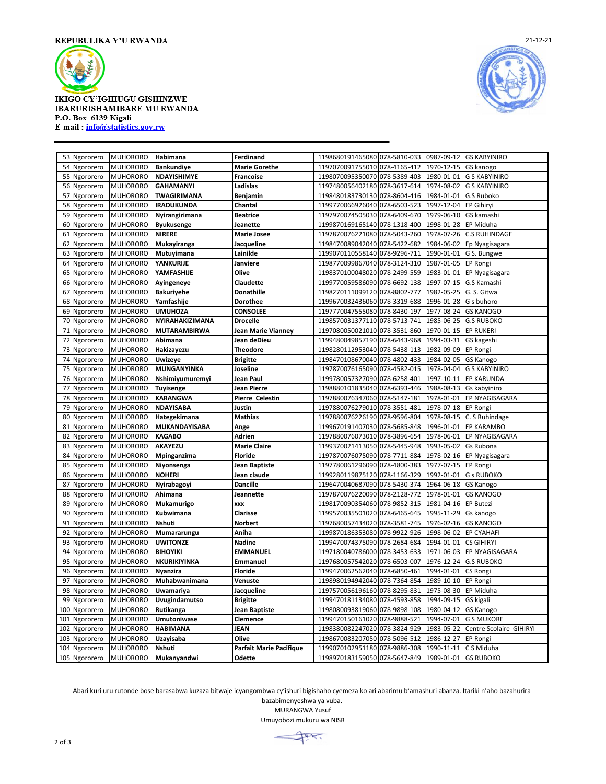

**IKIGO CY'IGIHUGU GISHINZWE** IBARURISHAMIBARE MU RWANDA P.O. Box 6139 Kigali E-mail: info@statistics.gov.rw



|     | 53 Ngororero  | <b>MUHORORO</b> | Habimana            | Ferdinand               | 1198680191465080 078-5810-033    | 0987-09-12            | <b>GS KABYINIRO</b>     |
|-----|---------------|-----------------|---------------------|-------------------------|----------------------------------|-----------------------|-------------------------|
|     | 54 Ngororero  | <b>MUHORORO</b> | <b>Bankundiye</b>   | <b>Marie Gorethe</b>    | 1197070091755010 078-4165-412    | 1970-12-15            | GS kanogo               |
|     | 55 Ngororero  | <b>MUHORORO</b> | NDAYISHIMYE         | Francoise               | 1198070095350070 078-5389-403    | 1980-01-01            | <b>G S KABYINIRO</b>    |
|     | 56 Ngororero  | <b>MUHORORO</b> | <b>GAHAMANYI</b>    | Ladislas                | 1197480056402180 078-3617-614    | 1974-08-02            | <b>G S KABYINIRO</b>    |
| 57  | Ngororero     | <b>MUHORORO</b> | TWAGIRIMANA         | Benjamin                | 1198480183730130 078-8604-416    | 1984-01-01            | G.S Ruboko              |
| 58  | Ngororero     | <b>MUHORORO</b> | <b>IRADUKUNDA</b>   | Chantal                 | 1199770066926040 078-6503-523    | 1997-12-04            | <b>EP Gihiryi</b>       |
| 59  | Ngororero     | <b>MUHORORO</b> | Nyirangirimana      | <b>Beatrice</b>         | 1197970074505030<br>078-6409-670 | 1979-06-10            | GS kamashi              |
|     | 60 Ngororero  | <b>MUHORORO</b> | <b>Byukusenge</b>   | Jeanette                | 1199870169165140 078-1318-400    | 1998-01-28            | EP Miduha               |
| 61  | Ngororero     | <b>MUHORORO</b> | <b>NIRERE</b>       | <b>Marie Josee</b>      | 1197870076221080 078-5043-260    | 1978-07-26            | <b>C.S RUHINDAGE</b>    |
| 62  | Ngororero     | <b>MUHORORO</b> | Mukayiranga         | Jacqueline              | 1198470089042040 078-5422-682    | 1984-06-02            | Ep Nyagisagara          |
| 63  | Ngororero     | <b>MUHORORO</b> | Mutuyimana          | Lainilde                | 1199070110558140 078-9296-711    | 1990-01-01            | G S. Bungwe             |
| 64  | Ngororero     | <b>MUHORORO</b> | <b>YANKURIJE</b>    | Janviere                | 1198770099867040 078-3124-310    | 1987-01-05            | <b>EP Rongi</b>         |
| 65  | Ngororero     | <b>MUHORORO</b> | YAMFASHIJE          | Olive                   | 1198370100048020<br>078-2499-559 | 1983-01-01            | EP Nyagisagara          |
| 66  | Ngororero     | <b>MUHORORO</b> | Ayingeneye          | Claudette               | 1199770059586090 078-6692-138    | 1997-07-15            | G.S Kamashi             |
| 67  | Ngororero     | <b>MUHORORO</b> | <b>Bakuriyehe</b>   | <b>Donathille</b>       | 1198270111099120 078-8802-777    | 1982-05-25            | G. S. Gitwa             |
|     | 68 Ngororero  | <b>MUHORORO</b> | Yamfashije          | <b>Dorothee</b>         | 1199670032436060 078-3319-688    | 1996-01-28            | G s buhoro              |
| 69  | Ngororero     | <b>MUHORORO</b> | <b>UMUHOZA</b>      | <b>CONSOLEE</b>         | 1197770047555080<br>078-8430-197 | 1977-08-24            | <b>GS KANOGO</b>        |
|     | 70 Ngororero  | <b>MUHORORO</b> | NYIRAHAKIZIMANA     | <b>Drocelle</b>         | 1198570031377110 078-5713-741    | 1985-06-25            | <b>G.S RUBOKO</b>       |
| 71  | Ngororero     | <b>MUHORORO</b> | <b>MUTARAMBIRWA</b> | Jean Marie Vianney      | 1197080050021010 078-3531-860    | 1970-01-15            | <b>EP RUKERI</b>        |
| 72  | Ngororero     | <b>MUHORORO</b> | Abimana             | Jean deDieu             | 1199480049857190 078-6443-968    | 1994-03-31            | GS kageshi              |
| 73  | Ngororero     | <b>MUHORORO</b> | Hakizayezu          | <b>Theodore</b>         | 1198280112953040 078-5438-113    | 1982-09-09            | EP Rongi                |
| 74  | Ngororero     | <b>MUHORORO</b> | <b>Uwizeye</b>      | <b>Brigitte</b>         | 1198470108670040 078-4802-433    | 1984-02-05            | <b>GS Kanogo</b>        |
| 75  | Ngororero     | <b>MUHORORO</b> | MUNGANYINKA         | Joseline                | 078-4582-015<br>1197870076165090 | 1978-04-04            | <b>G S KABYINIRO</b>    |
| 76  | Ngororero     | <b>MUHORORO</b> | Nshimiyumuremyi     | Jean Paul               | 1199780057327090 078-6258-401    | 1997-10-11            | <b>EP KARUNDA</b>       |
| 77  | Ngororero     | <b>MUHORORO</b> | <b>Tuyisenge</b>    | Jean Pierre             | 078-6393-446<br>1198880101835040 | 1988-08-13            | Gs kabyiniro            |
| 78  | Ngororero     | <b>MUHORORO</b> | <b>KARANGWA</b>     | <b>Pierre Celestin</b>  | 1197880076347060 078-5147-181    | 1978-01-01            | EP NYAGISAGARA          |
| 79  | Ngororero     | <b>MUHORORO</b> | <b>NDAYISABA</b>    | Justin                  | 1197880076279010 078-3551-481    | 1978-07-18            | <b>EP Rongi</b>         |
| 80  | Ngororero     | <b>MUHORORO</b> | Hategekimana        | <b>Mathias</b>          | 1197880076226190 078-9596-804    | 1978-08-15            | C. S Ruhindage          |
| 81  | Ngororero     | <b>MUHORORO</b> | MUKANDAYISABA       | Ange                    | 1199670191407030 078-5685-848    | 1996-01-01            | <b>EP KARAMBO</b>       |
| 82  | Ngororero     | <b>MUHORORO</b> | <b>KAGABO</b>       | Adrien                  | 1197880076073010 078-3896-654    | 1978-06-01            | EP NYAGISAGARA          |
| 83  | Ngororero     | <b>MUHORORO</b> | AKAYEZU             | <b>Marie Claire</b>     | 1199370021413050 078-5445-948    | 1993-05-02            | Gs Rubona               |
| 84  | Ngororero     | <b>MUHORORO</b> | Mpinganzima         | <b>Floride</b>          | 1197870076075090<br>078-7711-884 | 1978-02-16            | EP Nyagisagara          |
| 85  | Ngororero     | <b>MUHORORO</b> | Niyonsenga          | Jean Baptiste           | 1197780061296090 078-4800-383    | 1977-07-15            | EP Rongi                |
| 86  | Ngororero     | <b>MUHORORO</b> | <b>NOHERI</b>       | Jean claude             | 1199280119875120 078-1166-329    | 1992-01-01            | <b>G s RUBOKO</b>       |
| 87  | Ngororero     | <b>MUHORORO</b> | Nyirabagoyi         | <b>Dancille</b>         | 1196470040687090 078-5430-374    | 1964-06-18            | GS Kanogo               |
| 88  | Ngororero     | <b>MUHORORO</b> | Ahimana             | <b>Jeannette</b>        | 1197870076220090 078-2128-772    | 1978-01-01            | <b>GS KANOGO</b>        |
| 89  | Ngororero     | <b>MUHORORO</b> | Mukamurigo          | XXX                     | 1198170090354060 078-9852-315    | 1981-04-16            | <b>EP Butezi</b>        |
| 90  | Ngororero     | <b>MUHORORO</b> | Kubwimana           | Clarisse                | 078-6465-645<br>1199570035501020 | 1995-11-29            | Gs kanogo               |
| 91  | Ngororero     | <b>MUHORORO</b> | Nshuti              | Norbert                 | 1197680057434020<br>078-3581-745 | 1976-02-16            | <b>GS KANOGO</b>        |
| 92  | Ngororero     | <b>MUHORORO</b> | Mumararungu         | Aniha                   | 1199870186353080<br>078-9922-926 | 1998-06-02            | <b>EP CYAHAFI</b>       |
| 93  | Ngororero     | <b>MUHORORO</b> | <b>UWITONZE</b>     | Nadine                  | 1199470074375090 078-2684-684    | 1994-01-01            | <b>CS GIHIRYI</b>       |
| 94  | Ngororero     | <b>MUHORORO</b> | <b>BIHOYIKI</b>     | <b>EMMANUEL</b>         | 1197180040786000<br>078-3453-633 | 1971-06-03            | EP NYAGISAGARA          |
| 95  | Ngororero     | <b>MUHORORO</b> | NKURIKIYINKA        | Emmanuel                | 1197680057542020 078-6503-007    | 1976-12-24            | <b>G.S RUBOKO</b>       |
| 96  | Ngororero     | <b>MUHORORO</b> | Nyanzira            | <b>Floride</b>          | 1199470062562040<br>078-6850-461 | 1994-01-01            | CS Rongi                |
| 97  | Ngororero     | <b>MUHORORO</b> | Muhabwanimana       | Venuste                 | 1198980194942040<br>078-7364-854 | 1989-10-10            | EP Rongi                |
|     | 98 Ngororero  | <b>MUHORORO</b> | Uwamariya           | Jacqueline              | 1197570056196160 078-8295-831    | 1975-08-30            | EP Miduha               |
| 99  | Ngororero     | <b>MUHORORO</b> | Uvugindamutso       | <b>Brigitte</b>         | 1199470181134080<br>078-4593-858 | 1994-09-15            | GS kigali               |
|     | 100 Ngororero | <b>MUHORORO</b> | Rutikanga           | Jean Baptiste           | 1198080093819060 078-9898-108    | 1980-04-12            | GS Kanogo               |
| 101 | Ngororero     | <b>MUHORORO</b> | Umutoniwase         | Clemence                | 1199470150161020 078-9888-521    | 1994-07-01            | <b>G S MUKORE</b>       |
| 102 | Ngororero     | <b>MUHORORO</b> | <b>HABIMANA</b>     | JEAN                    | 1198380082247020 078-3824-929    | 1983-05-22            | Centre Scolaire GIHIRYI |
| 103 | Ngororero     | <b>MUHORORO</b> | Uzayisaba           | Olive                   | 1198670083207050 078-5096-512    | 1986-12-27            | <b>EP Rongi</b>         |
|     | 104 Ngororero | <b>MUHORORO</b> | Nshuti              | Parfait Marie Pacifique | 1199070102951180 078-9886-308    | 1990-11-11 C S Miduha |                         |
|     | 105 Ngororero | <b>MUHORORO</b> | Mukanyandwi         | Odette                  | 1198970183159050 078-5647-849    | 1989-01-01 GS RUBOKO  |                         |
|     |               |                 |                     |                         |                                  |                       |                         |

Abari kuri uru rutonde bose barasabwa kuzaza bitwaje icyangombwa cy'ishuri bigishaho cyemeza ko ari abarimu b'amashuri abanza. Itariki n'aho bazahurira

bazabimenyeshwa ya vuba.

MURANGWA Yusuf Umuyobozi mukuru wa NISR

 $\overline{+}$